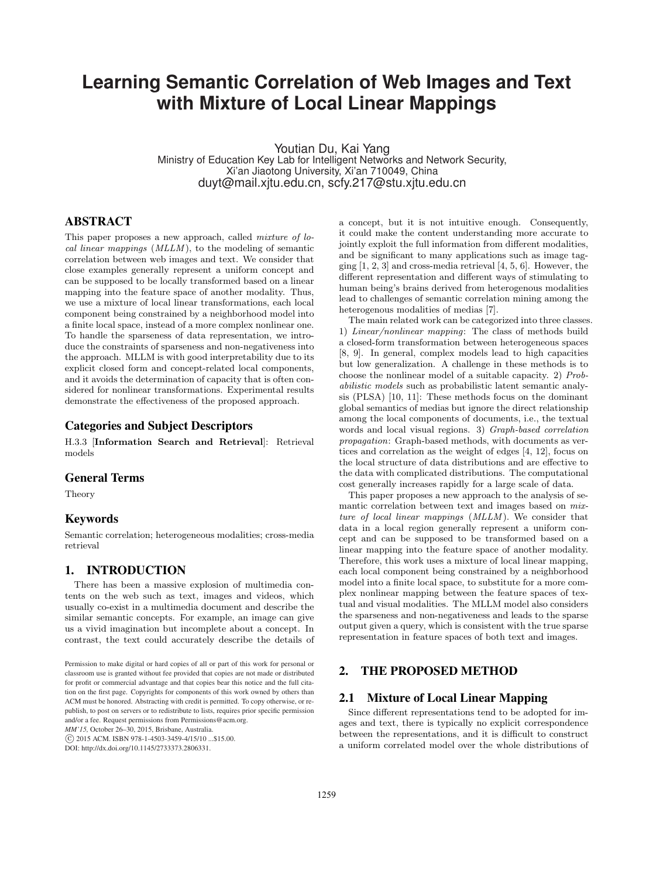# **Learning Semantic Correlation of Web Images and Text with Mixture of Local Linear Mappings**

Youtian Du, Kai Yang Ministry of Education Key Lab for Intelligent Networks and Network Security, Xi'an Jiaotong University, Xi'an 710049, China duyt@mail.xjtu.edu.cn, scfy.217@stu.xjtu.edu.cn

# ABSTRACT

This paper proposes a new approach, called *mixture of lo*cal linear mappings (MLLM ), to the modeling of semantic correlation between web images and text. We consider that close examples generally represent a uniform concept and can be supposed to be locally transformed based on a linear mapping into the feature space of another modality. Thus, we use a mixture of local linear transformations, each local component being constrained by a neighborhood model into a finite local space, instead of a more complex nonlinear one. To handle the sparseness of data representation, we introduce the constraints of sparseness and non-negativeness into the approach. MLLM is with good interpretability due to its explicit closed form and concept-related local components, and it avoids the determination of capacity that is often considered for nonlinear transformations. Experimental results demonstrate the effectiveness of the proposed approach.

# Categories and Subject Descriptors

H.3.3 [Information Search and Retrieval]: Retrieval models

# General Terms

Theory

### Keywords

Semantic correlation; heterogeneous modalities; cross-media retrieval

# 1. INTRODUCTION

There has been a massive explosion of multimedia contents on the web such as text, images and videos, which usually co-exist in a multimedia document and describe the similar semantic concepts. For example, an image can give us a vivid imagination but incomplete about a concept. In contrast, the text could accurately describe the details of

*MM'15,* October 26–30, 2015, Brisbane, Australia.

°c 2015 ACM. ISBN 978-1-4503-3459-4/15/10 ...\$15.00.

DOI: http://dx.doi.org/10.1145/2733373.2806331.

a concept, but it is not intuitive enough. Consequently, it could make the content understanding more accurate to jointly exploit the full information from different modalities, and be significant to many applications such as image tagging  $[1, 2, 3]$  and cross-media retrieval  $[4, 5, 6]$ . However, the different representation and different ways of stimulating to human being's brains derived from heterogenous modalities lead to challenges of semantic correlation mining among the heterogenous modalities of medias [7].

The main related work can be categorized into three classes. 1) Linear/nonlinear mapping: The class of methods build a closed-form transformation between heterogeneous spaces [8, 9]. In general, complex models lead to high capacities but low generalization. A challenge in these methods is to choose the nonlinear model of a suitable capacity. 2) Probabilistic models such as probabilistic latent semantic analysis (PLSA) [10, 11]: These methods focus on the dominant global semantics of medias but ignore the direct relationship among the local components of documents, i.e., the textual words and local visual regions. 3) Graph-based correlation propagation: Graph-based methods, with documents as vertices and correlation as the weight of edges [4, 12], focus on the local structure of data distributions and are effective to the data with complicated distributions. The computational cost generally increases rapidly for a large scale of data.

This paper proposes a new approach to the analysis of semantic correlation between text and images based on mixture of local linear mappings (MLLM). We consider that data in a local region generally represent a uniform concept and can be supposed to be transformed based on a linear mapping into the feature space of another modality. Therefore, this work uses a mixture of local linear mapping, each local component being constrained by a neighborhood model into a finite local space, to substitute for a more complex nonlinear mapping between the feature spaces of textual and visual modalities. The MLLM model also considers the sparseness and non-negativeness and leads to the sparse output given a query, which is consistent with the true sparse representation in feature spaces of both text and images.

# 2. THE PROPOSED METHOD

#### 2.1 Mixture of Local Linear Mapping

Since different representations tend to be adopted for images and text, there is typically no explicit correspondence between the representations, and it is difficult to construct a uniform correlated model over the whole distributions of

Permission to make digital or hard copies of all or part of this work for personal or classroom use is granted without fee provided that copies are not made or distributed for profit or commercial advantage and that copies bear this notice and the full citation on the first page. Copyrights for components of this work owned by others than ACM must be honored. Abstracting with credit is permitted. To copy otherwise, or republish, to post on servers or to redistribute to lists, requires prior specific permission and/or a fee. Request permissions from Permissions@acm.org.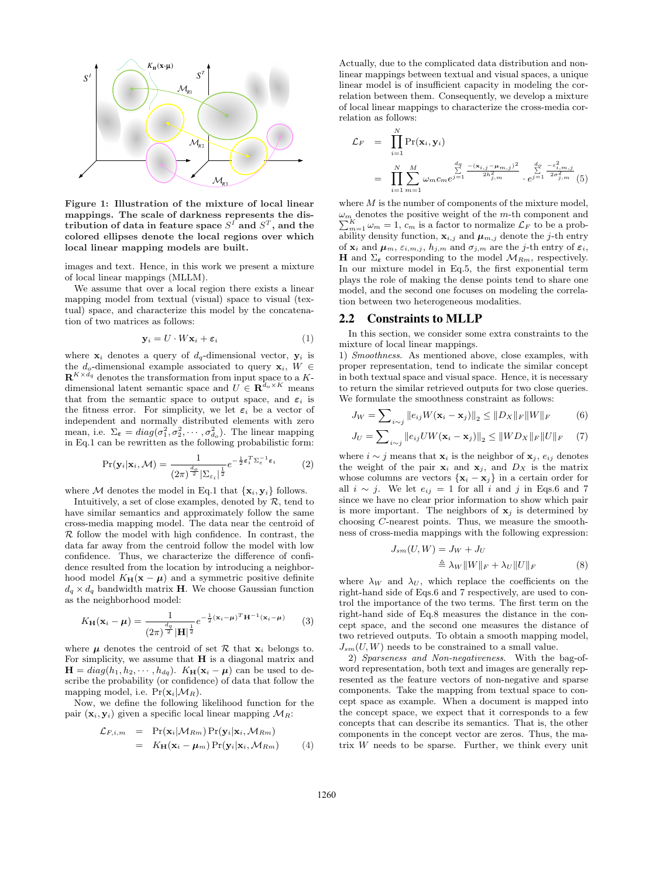

Figure 1: Illustration of the mixture of local linear mappings. The scale of darkness represents the distribution of data in feature space  $S^I$  and  $S^T,$  and the colored ellipses denote the local regions over which local linear mapping models are built.

images and text. Hence, in this work we present a mixture of local linear mappings (MLLM).

We assume that over a local region there exists a linear mapping model from textual (visual) space to visual (textual) space, and characterize this model by the concatenation of two matrices as follows:

$$
\mathbf{y}_i = U \cdot W \mathbf{x}_i + \varepsilon_i \tag{1}
$$

where  $x_i$  denotes a query of  $d_q$ -dimensional vector,  $y_i$  is the  $d_o$ -dimensional example associated to query  $\mathbf{x}_i, W \in$  $\mathbf{R}^{K \times d_q}$  denotes the transformation from input space to a Kdimensional latent semantic space and  $U \in \mathbb{R}^{\bar{d}_o \times K}$  means that from the semantic space to output space, and  $\varepsilon_i$  is the fitness error. For simplicity, we let  $\varepsilon_i$  be a vector of independent and normally distributed elements with zero mean, i.e.  $\Sigma_{\epsilon} = diag(\sigma_1^2, \sigma_2^2, \cdots, \sigma_{d_o}^2)$ . The linear mapping in Eq.1 can be rewritten as the following probabilistic form:

$$
\Pr(\mathbf{y}_i|\mathbf{x}_i,\mathcal{M}) = \frac{1}{(2\pi)^{\frac{d_o}{2}}|\Sigma_{\varepsilon_i}|^{\frac{1}{2}}}e^{-\frac{1}{2}\boldsymbol{\varepsilon}_i^T\Sigma_{\varepsilon}^{-1}\boldsymbol{\varepsilon}_i}
$$
(2)

where M denotes the model in Eq.1 that  $\{x_i, y_i\}$  follows.

Intuitively, a set of close examples, denoted by  $R$ , tend to have similar semantics and approximately follow the same cross-media mapping model. The data near the centroid of  $R$  follow the model with high confidence. In contrast, the data far away from the centroid follow the model with low confidence. Thus, we characterize the difference of confidence resulted from the location by introducing a neighborhood model  $K_{\mathbf{H}}(\mathbf{x} - \boldsymbol{\mu})$  and a symmetric positive definite  $d_q \times d_q$  bandwidth matrix **H**. We choose Gaussian function as the neighborhood model:

$$
K_{\mathbf{H}}(\mathbf{x}_{i} - \boldsymbol{\mu}) = \frac{1}{(2\pi)^{\frac{d_{q}}{2}} |\mathbf{H}|^{\frac{1}{2}}} e^{-\frac{1}{2}(\mathbf{x}_{i} - \boldsymbol{\mu})^{T} \mathbf{H}^{-1}(\mathbf{x}_{i} - \boldsymbol{\mu})}
$$
(3)

where  $\mu$  denotes the centroid of set  $\mathcal R$  that  $\mathbf x_i$  belongs to. For simplicity, we assume that  $H$  is a diagonal matrix and  $\mathbf{H} = diag(h_1, h_2, \cdots, h_{dq})$ .  $K_{\mathbf{H}}(\mathbf{x}_i - \boldsymbol{\mu})$  can be used to describe the probability (or confidence) of data that follow the mapping model, i.e.  $Pr(\mathbf{x}_i|M_R)$ .

Now, we define the following likelihood function for the pair  $(\mathbf{x}_i, \mathbf{y}_i)$  given a specific local linear mapping  $\mathcal{M}_R$ :

$$
\mathcal{L}_{F,i,m} = \Pr(\mathbf{x}_i | \mathcal{M}_{Rm}) \Pr(\mathbf{y}_i | \mathbf{x}_i, \mathcal{M}_{Rm})
$$
  
=  $K_{\mathbf{H}}(\mathbf{x}_i - \boldsymbol{\mu}_m) \Pr(\mathbf{y}_i | \mathbf{x}_i, \mathcal{M}_{Rm})$  (4)

Actually, due to the complicated data distribution and nonlinear mappings between textual and visual spaces, a unique linear model is of insufficient capacity in modeling the correlation between them. Consequently, we develop a mixture of local linear mappings to characterize the cross-media correlation as follows:

$$
\mathcal{L}_{F} = \prod_{i=1}^{N} \Pr(\mathbf{x}_{i}, \mathbf{y}_{i})
$$
\n
$$
= \prod_{i=1}^{N} \sum_{m=1}^{M} \omega_{m} c_{m} e^{j\frac{d_{q}}{2} - \frac{(\mathbf{x}_{i,j} - \mu_{m,j})^{2}}{2h_{j,m}^{2}}} \cdot e^{j\frac{d_{\rho}}{2} - \frac{\varepsilon_{i,m,j}^{2}}{2\sigma_{j,m}^{2}}} (5)
$$

where  $M$  is the number of components of the mixture model,  $\omega_m$  denotes the positive weight of the m-th component and  $K_{m=1}^{K} \omega_m = 1, c_m$  is a factor to normalize  $\mathcal{L}_F$  to be a probability density function,  $\mathbf{x}_{i,j}$  and  $\boldsymbol{\mu}_{m,j}$  denote the j-th entry of  $\mathbf{x}_i$  and  $\boldsymbol{\mu}_m$ ,  $\varepsilon_{i,m,j}$ ,  $h_{j,m}$  and  $\sigma_{j,m}$  are the j-th entry of  $\varepsilon_i$ , H and  $\Sigma_{\varepsilon}$  corresponding to the model  $\mathcal{M}_{Rm}$ , respectively. In our mixture model in Eq.5, the first exponential term plays the role of making the dense points tend to share one model, and the second one focuses on modeling the correlation between two heterogeneous modalities.

#### 2.2 Constraints to MLLP

 $J_s$ 

In this section, we consider some extra constraints to the mixture of local linear mappings.

1) Smoothness. As mentioned above, close examples, with proper representation, tend to indicate the similar concept in both textual space and visual space. Hence, it is necessary to return the similar retrieved outputs for two close queries. We formulate the smoothness constraint as follows:

$$
J_W = \sum_{i \sim j} \|e_{ij} W(\mathbf{x}_i - \mathbf{x}_j)\|_2 \le \|D_X\|_F \|W\|_F
$$
 (6)

$$
J_U = \sum_{i \sim j} ||e_{ij} U W(\mathbf{x}_i - \mathbf{x}_j)||_2 \le ||W D_X||_F ||U||_F \quad (7)
$$

where  $i \sim j$  means that  $\mathbf{x}_i$  is the neighbor of  $\mathbf{x}_j$ ,  $e_{ij}$  denotes the weight of the pair  $x_i$  and  $x_j$ , and  $D_x$  is the matrix whose columns are vectors  $\{x_i - x_j\}$  in a certain order for all  $i \sim j$ . We let  $e_{ij} = 1$  for all i and j in Eqs.6 and 7 since we have no clear prior information to show which pair is more important. The neighbors of  $x_j$  is determined by choosing C-nearest points. Thus, we measure the smoothness of cross-media mappings with the following expression:

$$
m(U, W) = J_W + J_U
$$
  

$$
\triangleq \lambda_W ||W||_F + \lambda_U ||U||_F
$$
 (8)

where  $\lambda_W$  and  $\lambda_U$ , which replace the coefficients on the right-hand side of Eqs.6 and 7 respectively, are used to control the importance of the two terms. The first term on the right-hand side of Eq.8 measures the distance in the concept space, and the second one measures the distance of two retrieved outputs. To obtain a smooth mapping model,  $J_{sm}(U, W)$  needs to be constrained to a small value.

2) Sparseness and Non-negativeness. With the bag-ofword representation, both text and images are generally represented as the feature vectors of non-negative and sparse components. Take the mapping from textual space to concept space as example. When a document is mapped into the concept space, we expect that it corresponds to a few concepts that can describe its semantics. That is, the other components in the concept vector are zeros. Thus, the matrix  $W$  needs to be sparse. Further, we think every unit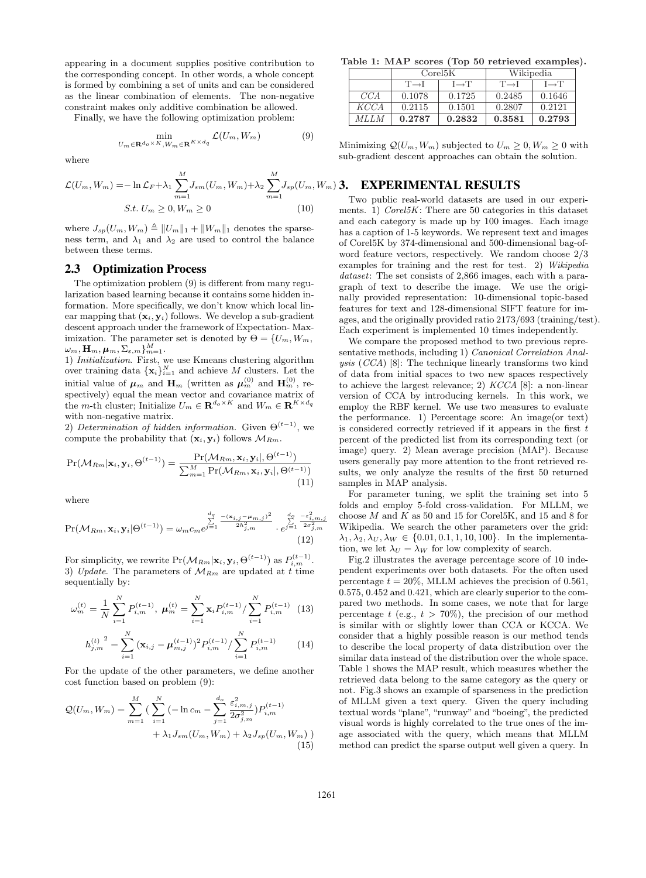appearing in a document supplies positive contribution to the corresponding concept. In other words, a whole concept is formed by combining a set of units and can be considered as the linear combination of elements. The non-negative constraint makes only additive combination be allowed.

Finally, we have the following optimization problem:

$$
\min_{U_m \in \mathbf{R}^{d_o \times K}, W_m \in \mathbf{R}^{K \times d_q}} \mathcal{L}(U_m, W_m)
$$
(9)

where

$$
\mathcal{L}(U_m, W_m) = -\ln \mathcal{L}_F + \lambda_1 \sum_{m=1}^{M} J_{sm}(U_m, W_m) + \lambda_2 \sum_{m=1}^{M} J_{sp}(U_m, W_m)
$$
  
 
$$
S.t. U_m \ge 0, W_m \ge 0
$$
 (10)

where  $J_{sp}(U_m, W_m) \triangleq ||U_m||_1 + ||W_m||_1$  denotes the sparseness term, and  $\lambda_1$  and  $\lambda_2$  are used to control the balance between these terms.

#### 2.3 Optimization Process

The optimization problem (9) is different from many regularization based learning because it contains some hidden information. More specifically, we don't know which local linear mapping that  $(\mathbf{x}_i, \mathbf{y}_i)$  follows. We develop a sub-gradient descent approach under the framework of Expectation- Maximization. The parameter set is denoted by  $\Theta = \{U_m, W_m,$  $\omega_m, {\bf H}_m, \boldsymbol{\mu}_m, \Sigma_{\varepsilon,m}\}_{m=1}^M.$ 

1) Initialization. First, we use Kmeans clustering algorithm over training data  $\{\mathbf x_i\}_{i=1}^N$  and achieve M clusters. Let the initial value of  $\mu_m$  and  $\mathbf{H}_m$  (written as  $\mu_m^{(0)}$  and  $\mathbf{H}_m^{(0)}$ , respectively) equal the mean vector and covariance matrix of the m-th cluster; Initialize  $U_m \in \mathbf{R}^{d_o \times K}$  and  $W_m \in \mathbf{R}^{K \times d_q}$ with non-negative matrix.

2) Determination of hidden information. Given  $\Theta^{(t-1)}$ , we compute the probability that  $(\mathbf{x}_i, \mathbf{y}_i)$  follows  $\mathcal{M}_{Rm}$ .

$$
Pr(\mathcal{M}_{Rm}|\mathbf{x}_i, \mathbf{y}_i, \Theta^{(t-1)}) = \frac{Pr(\mathcal{M}_{Rm}, \mathbf{x}_i, \mathbf{y}_i |, \Theta^{(t-1)})}{\sum_{m=1}^{M} Pr(\mathcal{M}_{Rm}, \mathbf{x}_i, \mathbf{y}_i |, \Theta^{(t-1)})}
$$
(11)

where

$$
\Pr(\mathcal{M}_{Rm}, \mathbf{x}_{i}, \mathbf{y}_{i} | \Theta^{(t-1)}) = \omega_{m} c_{m} e^{j \frac{d_{q}}{2} - \frac{(\mathbf{x}_{i,j} - \mu_{m,j})^{2}}{2h_{j,m}^{2}}} \cdot e^{j \frac{d_{o}}{2} - \frac{\epsilon_{i,m,j}^{2}}{2\sigma_{j,m}^{2}}}
$$
(12)

For simplicity, we rewrite  $Pr(\mathcal{M}_{Rm}|\mathbf{x}_i, \mathbf{y}_i, \Theta^{(t-1)})$  as  $P_{i,m}^{(t-1)}$ . 3) Update. The parameters of  $M_{Rm}$  are updated at t time sequentially by:

$$
\omega_m^{(t)} = \frac{1}{N} \sum_{i=1}^N P_{i,m}^{(t-1)}, \ \boldsymbol{\mu}_m^{(t)} = \sum_{i=1}^N \mathbf{x}_i P_{i,m}^{(t-1)}/\sum_{i=1}^N P_{i,m}^{(t-1)} \tag{13}
$$

$$
h_{j,m}^{(t)}^2 = \sum_{i=1}^N (\mathbf{x}_{i,j} - \boldsymbol{\mu}_{m,j}^{(t-1)})^2 P_{i,m}^{(t-1)} / \sum_{i=1}^N P_{i,m}^{(t-1)} \qquad (14)
$$

For the update of the other parameters, we define another cost function based on problem (9):

$$
\mathcal{Q}(U_m, W_m) = \sum_{m=1}^{M} \left( \sum_{i=1}^{N} \left( -\ln c_m - \sum_{j=1}^{d_o} \frac{\varepsilon_{i,m,j}^2}{2\sigma_{j,m}^2} \right) P_{i,m}^{(t-1)} + \lambda_1 J_{sm}(U_m, W_m) + \lambda_2 J_{sp}(U_m, W_m) \right)
$$
\n(15)

Table 1: MAP scores (Top 50 retrieved examples).

|             | Corel 5K          |                   | Wikipedia         |                   |
|-------------|-------------------|-------------------|-------------------|-------------------|
|             | $T \rightarrow I$ | $I \rightarrow T$ | $T \rightarrow I$ | $I \rightarrow T$ |
| CCA         | 0.1078            | 0.1725            | 0.2485            | 0.1646            |
| <i>KCCA</i> | 0.2115            | 0.1501            | 0.2807            | 0.2121            |
| MLLM        | 0.2787            | 0.2832            | 0.3581            | 0.2793            |

Minimizing  $\mathcal{Q}(U_m, W_m)$  subjected to  $U_m \geq 0, W_m \geq 0$  with sub-gradient descent approaches can obtain the solution.

#### $(m)$  3. **EXPERIMENTAL RESULTS**

Two public real-world datasets are used in our experiments. 1)  $Corel 5K$ : There are 50 categories in this dataset and each category is made up by 100 images. Each image has a caption of 1-5 keywords. We represent text and images of Corel5K by 374-dimensional and 500-dimensional bag-ofword feature vectors, respectively. We random choose 2/3 examples for training and the rest for test. 2) Wikipedia dataset: The set consists of 2,866 images, each with a paragraph of text to describe the image. We use the originally provided representation: 10-dimensional topic-based features for text and 128-dimensional SIFT feature for images, and the originally provided ratio 2173/693 (training/test). Each experiment is implemented 10 times independently.

We compare the proposed method to two previous representative methods, including 1) Canonical Correlation Analysis (CCA) [8]: The technique linearly transforms two kind of data from initial spaces to two new spaces respectively to achieve the largest relevance; 2)  $KCCA$  [8]: a non-linear version of CCA by introducing kernels. In this work, we employ the RBF kernel. We use two measures to evaluate the performance. 1) Percentage score: An image(or text) is considered correctly retrieved if it appears in the first  $t$ percent of the predicted list from its corresponding text (or image) query. 2) Mean average precision (MAP). Because users generally pay more attention to the front retrieved results, we only analyze the results of the first 50 returned samples in MAP analysis.

For parameter tuning, we split the training set into 5 folds and employ 5-fold cross-validation. For MLLM, we choose  $M$  and  $K$  as 50 and 15 for Corel5K, and 15 and 8 for Wikipedia. We search the other parameters over the grid:  $\lambda_1, \lambda_2, \lambda_U, \lambda_W \in \{0.01, 0.1, 1, 10, 100\}$ . In the implementation, we let  $\lambda_U = \lambda_W$  for low complexity of search.

Fig.2 illustrates the average percentage score of 10 independent experiments over both datasets. For the often used percentage  $t = 20\%$ , MLLM achieves the precision of 0.561, 0.575, 0.452 and 0.421, which are clearly superior to the compared two methods. In some cases, we note that for large percentage  $t$  (e.g.,  $t > 70\%)$ , the precision of our method is similar with or slightly lower than CCA or KCCA. We consider that a highly possible reason is our method tends to describe the local property of data distribution over the similar data instead of the distribution over the whole space. Table 1 shows the MAP result, which measures whether the retrieved data belong to the same category as the query or not. Fig.3 shows an example of sparseness in the prediction of MLLM given a text query. Given the query including textual words "plane", "runway" and "boeing", the predicted visual words is highly correlated to the true ones of the image associated with the query, which means that MLLM method can predict the sparse output well given a query. In